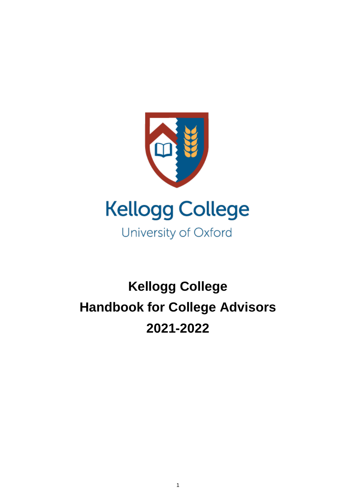

# **Kellogg College Handbook for College Advisors 2021-2022**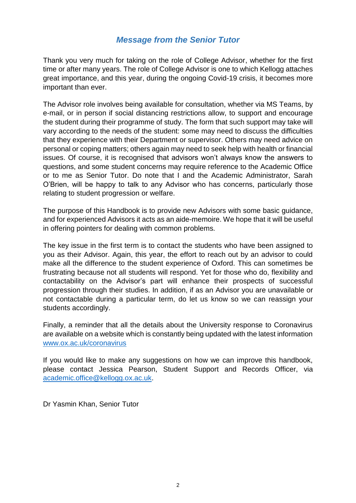## *Message from the Senior Tutor*

Thank you very much for taking on the role of College Advisor, whether for the first time or after many years. The role of College Advisor is one to which Kellogg attaches great importance, and this year, during the ongoing Covid-19 crisis, it becomes more important than ever.

The Advisor role involves being available for consultation, whether via MS Teams, by e-mail, or in person if social distancing restrictions allow, to support and encourage the student during their programme of study. The form that such support may take will vary according to the needs of the student: some may need to discuss the difficulties that they experience with their Department or supervisor. Others may need advice on personal or coping matters; others again may need to seek help with health or financial issues. Of course, it is recognised that advisors won't always know the answers to questions, and some student concerns may require reference to the Academic Office or to me as Senior Tutor. Do note that I and the Academic Administrator, Sarah O'Brien, will be happy to talk to any Advisor who has concerns, particularly those relating to student progression or welfare.

The purpose of this Handbook is to provide new Advisors with some basic guidance, and for experienced Advisors it acts as an aide-memoire. We hope that it will be useful in offering pointers for dealing with common problems.

The key issue in the first term is to contact the students who have been assigned to you as their Advisor. Again, this year, the effort to reach out by an advisor to could make all the difference to the student experience of Oxford. This can sometimes be frustrating because not all students will respond. Yet for those who do, flexibility and contactability on the Advisor's part will enhance their prospects of successful progression through their studies. In addition, if as an Advisor you are unavailable or not contactable during a particular term, do let us know so we can reassign your students accordingly.

Finally, a reminder that all the details about the University response to Coronavirus are available on a website which is constantly being updated with the latest information [www.ox.ac.uk/coronavirus](http://www.ox.ac.uk/coronavirus)

If you would like to make any suggestions on how we can improve this handbook, please contact Jessica Pearson, Student Support and Records Officer, via [academic.office@kellogg.ox.ac.uk.](mailto:academic.office@kellogg.ox.ac.uk)

Dr Yasmin Khan, Senior Tutor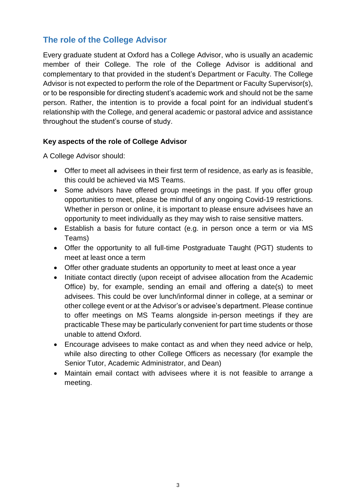# **The role of the College Advisor**

Every graduate student at Oxford has a College Advisor, who is usually an academic member of their College. The role of the College Advisor is additional and complementary to that provided in the student's Department or Faculty. The College Advisor is not expected to perform the role of the Department or Faculty Supervisor(s), or to be responsible for directing student's academic work and should not be the same person. Rather, the intention is to provide a focal point for an individual student's relationship with the College, and general academic or pastoral advice and assistance throughout the student's course of study.

#### **Key aspects of the role of College Advisor**

A College Advisor should:

- Offer to meet all advisees in their first term of residence, as early as is feasible, this could be achieved via MS Teams.
- Some advisors have offered group meetings in the past. If you offer group opportunities to meet, please be mindful of any ongoing Covid-19 restrictions. Whether in person or online, it is important to please ensure advisees have an opportunity to meet individually as they may wish to raise sensitive matters.
- Establish a basis for future contact (e.g. in person once a term or via MS Teams)
- Offer the opportunity to all full-time Postgraduate Taught (PGT) students to meet at least once a term
- Offer other graduate students an opportunity to meet at least once a year
- Initiate contact directly (upon receipt of advisee allocation from the Academic Office) by, for example, sending an email and offering a date(s) to meet advisees. This could be over lunch/informal dinner in college, at a seminar or other college event or at the Advisor's or advisee's department. Please continue to offer meetings on MS Teams alongside in-person meetings if they are practicable These may be particularly convenient for part time students or those unable to attend Oxford.
- Encourage advisees to make contact as and when they need advice or help, while also directing to other College Officers as necessary (for example the Senior Tutor, Academic Administrator, and Dean)
- Maintain email contact with advisees where it is not feasible to arrange a meeting.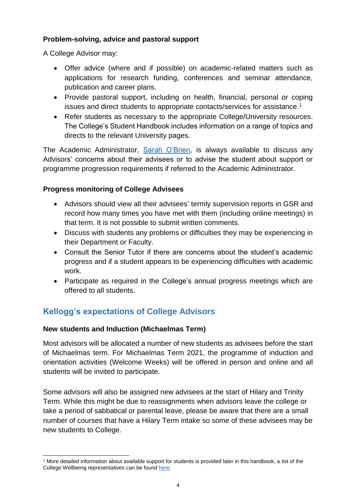## **Problem-solving, advice and pastoral support**

A College Advisor may:

- Offer advice (where and if possible) on academic-related matters such as applications for research funding, conferences and seminar attendance, publication and career plans.
- Provide pastoral support, including on health, financial, personal or coping issues and direct students to appropriate contacts/services for assistance. 1
- Refer students as necessary to the appropriate College/University resources. The College's Student Handbook includes information on a range of topics and directs to the relevant University pages.

The Academic Administrator, [Sarah O'Brien,](mailto:sarah.obrien@kellogg.ox.ac.uk) is always available to discuss any Advisors' concerns about their advisees or to advise the student about support or programme progression requirements if referred to the Academic Administrator.

## **Progress monitoring of College Advisees**

- Advisors should view all their advisees' termly supervision reports in GSR and record how many times you have met with them (including online meetings) in that term. It is not possible to submit written comments.
- Discuss with students any problems or difficulties they may be experiencing in their Department or Faculty.
- Consult the Senior Tutor if there are concerns about the student's academic progress and if a student appears to be experiencing difficulties with academic work.
- Participate as required in the College's annual progress meetings which are offered to all students.

# **Kellogg's expectations of College Advisors**

#### **New students and Induction (Michaelmas Term)**

-

Most advisors will be allocated a number of new students as advisees before the start of Michaelmas term. For Michaelmas Term 2021, the programme of induction and orientation activities (Welcome Weeks) will be offered in person and online and all students will be invited to participate.

Some advisors will also be assigned new advisees at the start of Hilary and Trinity Term. While this might be due to reassignments when advisors leave the college or take a period of sabbatical or parental leave, please be aware that there are a small number of courses that have a Hilary Term intake so some of these advisees may be new students to College.

<sup>1</sup> More detailed information about available support for students is provided later in this handbook, a list of the College Wellbeing representatives can be foun[d here.](http://handbook.kellogg.ox.ac.uk/health-wellbeing-and-disability/college-wellbeing-contacts/)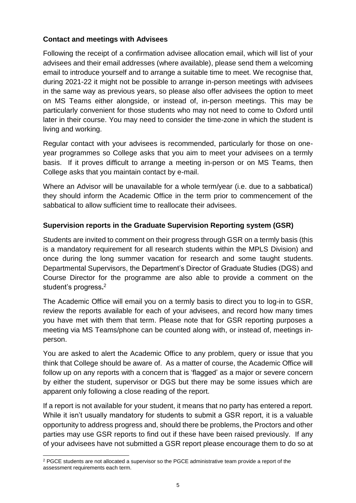## **Contact and meetings with Advisees**

Following the receipt of a confirmation advisee allocation email, which will list of your advisees and their email addresses (where available), please send them a welcoming email to introduce yourself and to arrange a suitable time to meet. We recognise that, during 2021-22 it might not be possible to arrange in-person meetings with advisees in the same way as previous years, so please also offer advisees the option to meet on MS Teams either alongside, or instead of, in-person meetings. This may be particularly convenient for those students who may not need to come to Oxford until later in their course. You may need to consider the time-zone in which the student is living and working.

Regular contact with your advisees is recommended, particularly for those on oneyear programmes so College asks that you aim to meet your advisees on a termly basis. If it proves difficult to arrange a meeting in-person or on MS Teams, then College asks that you maintain contact by e-mail.

Where an Advisor will be unavailable for a whole term/year (i.e. due to a sabbatical) they should inform the Academic Office in the term prior to commencement of the sabbatical to allow sufficient time to reallocate their advisees.

## **Supervision reports in the Graduate Supervision Reporting system (GSR)**

Students are invited to comment on their progress through GSR on a termly basis (this is a mandatory requirement for all research students within the MPLS Division) and once during the long summer vacation for research and some taught students. Departmental Supervisors, the Department's Director of Graduate Studies (DGS) and Course Director for the programme are also able to provide a comment on the student's progress**.** 2

The Academic Office will email you on a termly basis to direct you to log-in to GSR, review the reports available for each of your advisees, and record how many times you have met with them that term. Please note that for GSR reporting purposes a meeting via MS Teams/phone can be counted along with, or instead of, meetings inperson.

You are asked to alert the Academic Office to any problem, query or issue that you think that College should be aware of. As a matter of course, the Academic Office will follow up on any reports with a concern that is 'flagged' as a major or severe concern by either the student, supervisor or DGS but there may be some issues which are apparent only following a close reading of the report.

If a report is not available for your student, it means that no party has entered a report. While it isn't usually mandatory for students to submit a GSR report, it is a valuable opportunity to address progress and, should there be problems, the Proctors and other parties may use GSR reports to find out if these have been raised previously. If any of your advisees have not submitted a GSR report please encourage them to do so at

-

<sup>&</sup>lt;sup>2</sup> PGCE students are not allocated a supervisor so the PGCE administrative team provide a report of the assessment requirements each term.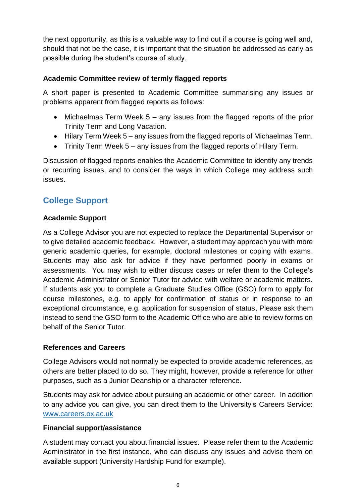the next opportunity, as this is a valuable way to find out if a course is going well and, should that not be the case, it is important that the situation be addressed as early as possible during the student's course of study.

## **Academic Committee review of termly flagged reports**

A short paper is presented to Academic Committee summarising any issues or problems apparent from flagged reports as follows:

- Michaelmas Term Week 5 any issues from the flagged reports of the prior Trinity Term and Long Vacation.
- Hilary Term Week 5 any issues from the flagged reports of Michaelmas Term.
- Trinity Term Week 5 any issues from the flagged reports of Hilary Term.

Discussion of flagged reports enables the Academic Committee to identify any trends or recurring issues, and to consider the ways in which College may address such issues.

# **College Support**

#### **Academic Support**

As a College Advisor you are not expected to replace the Departmental Supervisor or to give detailed academic feedback. However, a student may approach you with more generic academic queries, for example, doctoral milestones or coping with exams. Students may also ask for advice if they have performed poorly in exams or assessments. You may wish to either discuss cases or refer them to the College's Academic Administrator or Senior Tutor for advice with welfare or academic matters. If students ask you to complete a Graduate Studies Office (GSO) form to apply for course milestones, e.g. to apply for confirmation of status or in response to an exceptional circumstance, e.g. application for suspension of status, Please ask them instead to send the GSO form to the Academic Office who are able to review forms on behalf of the Senior Tutor.

#### **References and Careers**

College Advisors would not normally be expected to provide academic references, as others are better placed to do so. They might, however, provide a reference for other purposes, such as a Junior Deanship or a character reference.

Students may ask for advice about pursuing an academic or other career. In addition to any advice you can give, you can direct them to the University's Careers Service: [www.careers.ox.ac.uk](http://www.careers.ox.ac.uk/)

#### **Financial support/assistance**

A student may contact you about financial issues. Please refer them to the Academic Administrator in the first instance, who can discuss any issues and advise them on available support (University Hardship Fund for example).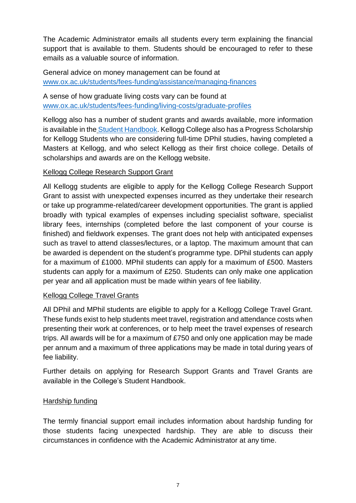The Academic Administrator emails all students every term explaining the financial support that is available to them. Students should be encouraged to refer to these emails as a valuable source of information.

General advice on money management can be found at [www.ox.ac.uk/students/fees-funding/assistance/managing-finances](http://www.ox.ac.uk/students/fees-funding/assistance/managing-finances)

A sense of how graduate living costs vary can be found at [www.ox.ac.uk/students/fees-funding/living-costs/graduate-profiles](http://www.ox.ac.uk/students/fees-funding/living-costs/graduate-profiles)

Kellogg also has a number of student grants and awards available, more information is available in the [Student Handbook.](http://handbook.kellogg.ox.ac.uk/financial-information/grants-awards-and-scholarships/) Kellogg College also has a Progress Scholarship for Kellogg Students who are considering full-time DPhil studies, having completed a Masters at Kellogg, and who select Kellogg as their first choice college. Details of scholarships and awards are on the Kellogg website.

## Kellogg College Research Support Grant

All Kellogg students are eligible to apply for the Kellogg College Research Support Grant to assist with unexpected expenses incurred as they undertake their research or take up programme-related/career development opportunities. The grant is applied broadly with typical examples of expenses including specialist software, specialist library fees, internships (completed before the last component of your course is finished) and fieldwork expenses. The grant does not help with anticipated expenses such as travel to attend classes/lectures, or a laptop. The maximum amount that can be awarded is dependent on the student's programme type. DPhil students can apply for a maximum of £1000. MPhil students can apply for a maximum of £500. Masters students can apply for a maximum of £250. Students can only make one application per year and all application must be made within years of fee liability.

#### Kellogg College Travel Grants

All DPhil and MPhil students are eligible to apply for a Kellogg College Travel Grant. These funds exist to help students meet travel, registration and attendance costs when presenting their work at conferences, or to help meet the travel expenses of research trips. All awards will be for a maximum of £750 and only one application may be made per annum and a maximum of three applications may be made in total during years of fee liability.

Further details on applying for Research Support Grants and Travel Grants are available in the College's Student Handbook.

#### Hardship funding

The termly financial support email includes information about hardship funding for those students facing unexpected hardship. They are able to discuss their circumstances in confidence with the Academic Administrator at any time.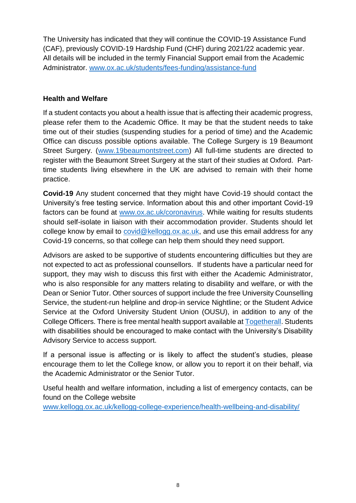The University has indicated that they will continue the COVID-19 Assistance Fund (CAF), previously COVID-19 Hardship Fund (CHF) during 2021/22 academic year. All details will be included in the termly Financial Support email from the Academic Administrator. [www.ox.ac.uk/students/fees-funding/assistance-fund](http://www.ox.ac.uk/students/fees-funding/assistance-fund)

#### **Health and Welfare**

If a student contacts you about a health issue that is affecting their academic progress, please refer them to the Academic Office. It may be that the student needs to take time out of their studies (suspending studies for a period of time) and the Academic Office can discuss possible options available. The College Surgery is 19 Beaumont Street Surgery. [\(www.19beaumontstreet.com\)](https://www.19beaumontstreet.com/) All full-time students are directed to register with the Beaumont Street Surgery at the start of their studies at Oxford. Parttime students living elsewhere in the UK are advised to remain with their home practice.

**Covid-19** Any student concerned that they might have Covid-19 should contact the University's free testing service. Information about this and other important Covid-19 factors can be found at [www.ox.ac.uk/coronavirus.](http://www.ox.ac.uk/coronavirus) While waiting for results students should self-isolate in liaison with their accommodation provider. Students should let college know by email to [covid@kellogg.ox.ac.uk,](mailto:covid@kellogg.ox.ac.uk) and use this email address for any Covid-19 concerns, so that college can help them should they need support.

Advisors are asked to be supportive of students encountering difficulties but they are not expected to act as professional counsellors. If students have a particular need for support, they may wish to discuss this first with either the Academic Administrator, who is also responsible for any matters relating to disability and welfare, or with the Dean or Senior Tutor. Other sources of support include the free University Counselling Service, the student-run helpline and drop-in service Nightline; or the Student Advice Service at the Oxford University Student Union (OUSU), in addition to any of the College Officers. There is free mental health support available at [Togetherall.](https://togetherall.com/en-gb/) Students with disabilities should be encouraged to make contact with the University's Disability Advisory Service to access support.

If a personal issue is affecting or is likely to affect the student's studies, please encourage them to let the College know, or allow you to report it on their behalf, via the Academic Administrator or the Senior Tutor.

Useful health and welfare information, including a list of emergency contacts, can be found on the College website

[www.kellogg.ox.ac.uk/kellogg-college-experience/health-wellbeing-and-disability/](https://www.kellogg.ox.ac.uk/kellogg-college-experience/health-wellbeing-and-disability/)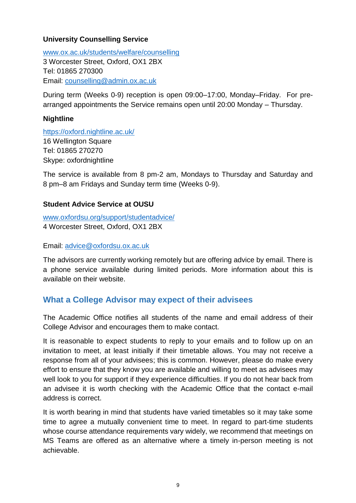## **University Counselling Service**

[www.ox.ac.uk/students/welfare/counselling](http://www.ox.ac.uk/students/welfare/counselling) 3 Worcester Street, Oxford, OX1 2BX Tel: 01865 270300 Email: [counselling@admin.ox.ac.uk](mailto:counselling@admin.ox.ac.uk)

During term (Weeks 0-9) reception is open 09:00–17:00, Monday–Friday. For prearranged appointments the Service remains open until 20:00 Monday – Thursday.

#### **Nightline**

<https://oxford.nightline.ac.uk/> 16 Wellington Square Tel: 01865 270270 Skype: oxfordnightline

The service is available from 8 pm-2 am, Mondays to Thursday and Saturday and 8 pm–8 am Fridays and Sunday term time (Weeks 0-9).

#### **Student Advice Service at OUSU**

[www.oxfordsu.org/support/studentadvice/](http://www.oxfordsu.org/support/studentadvice/) 4 Worcester Street, Oxford, OX1 2BX

Email: [advice@oxfordsu.ox.ac.uk](mailto:advice@oxfordsu.ox.ac.uk)

The advisors are currently working remotely but are offering advice by email. There is a phone service available during limited periods. More information about this is available on their website.

# **What a College Advisor may expect of their advisees**

The Academic Office notifies all students of the name and email address of their College Advisor and encourages them to make contact.

It is reasonable to expect students to reply to your emails and to follow up on an invitation to meet, at least initially if their timetable allows. You may not receive a response from all of your advisees; this is common. However, please do make every effort to ensure that they know you are available and willing to meet as advisees may well look to you for support if they experience difficulties. If you do not hear back from an advisee it is worth checking with the Academic Office that the contact e-mail address is correct.

It is worth bearing in mind that students have varied timetables so it may take some time to agree a mutually convenient time to meet. In regard to part-time students whose course attendance requirements vary widely, we recommend that meetings on MS Teams are offered as an alternative where a timely in-person meeting is not achievable.